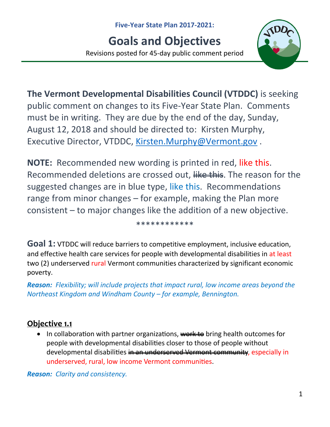# **Goals and Objectives**

Revisions posted for 45-day public comment period



**The Vermont Developmental Disabilities Council (VTDDC)** is seeking public comment on changes to its Five-Year State Plan. Comments must be in writing. They are due by the end of the day, Sunday, August 12, 2018 and should be directed to: Kirsten Murphy, Executive Director, VTDDC, [Kirsten.Murphy@Vermont.gov](mailto:Kirsten.Murphy@Vermont.gov) .

**NOTE:** Recommended new wording is printed in red, like this. Recommended deletions are crossed out, like this. The reason for the suggested changes are in blue type, like this. Recommendations range from minor changes – for example, making the Plan more consistent – to major changes like the addition of a new objective.

\*\*\*\*\*\*\*\*\*\*\*\*

**Goal 1:** VTDDC will reduce barriers to competitive employment, inclusive education, and effective health care services for people with developmental disabilities in at least two (2) underserved rural Vermont communities characterized by significant economic poverty.

*Reason: Flexibility; will include projects that impact rural, low income areas beyond the Northeast Kingdom and Windham County – for example, Bennington.*

## **Objective 1.1**

• In collaboration with partner organizations, work to bring health outcomes for people with developmental disabilities closer to those of people without developmental disabilities in an underserved Vermont community, especially in underserved, rural, low income Vermont communities.

*Reason: Clarity and consistency.*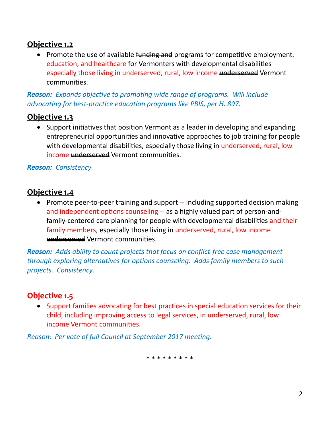## **Objective 1.2**

• Promote the use of available funding and programs for competitive employment, education, and healthcare for Vermonters with developmental disabilities especially those living in underserved, rural, low income underserved Vermont communities.

*Reason: Expands objective to promoting wide range of programs. Will include advocating for best-practice education programs like PBIS, per H. 897.*

## **Objective 1.3**

• Support initiatives that position Vermont as a leader in developing and expanding entrepreneurial opportunities and innovative approaches to job training for people with developmental disabilities, especially those living in underserved, rural, low income underserved Vermont communities.

#### *Reason: Consistency*

#### **Objective 1.4**

• Promote peer-to-peer training and support -- including supported decision making and independent options counseling -- as a highly valued part of person-andfamily-centered care planning for people with developmental disabilities and their family members, especially those living in underserved, rural, low income underserved Vermont communities.

*Reason: Adds ability to count projects that focus on conflict-free case management through exploring alternatives for options counseling. Adds family members to such projects. Consistency.*

## **Objective 1.5**

• Support families advocating for best practices in special education services for their child, including improving access to legal services, in underserved, rural, low income Vermont communities.

*Reason: Per vote of full Council at September 2017 meeting.*

\* \* \* \* \* \* \* \*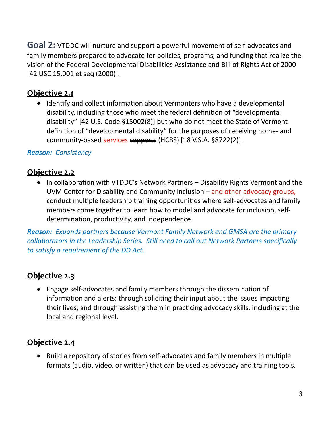**Goal 2:** VTDDC will nurture and support a powerful movement of self-advocates and family members prepared to advocate for policies, programs, and funding that realize the vision of the Federal Developmental Disabilities Assistance and Bill of Rights Act of 2000 [42 USC 15,001 et seq (2000)].

#### **Objective 2.1**

• Identify and collect information about Vermonters who have a developmental disability, including those who meet the federal definition of "developmental disability" [42 U.S. Code §15002(8)] but who do not meet the State of Vermont definition of "developmental disability" for the purposes of receiving home- and community-based services supports (HCBS) [18 V.S.A. §8722(2)].

#### *Reason: Consistency*

#### **Objective 2.2**

• In collaboration with VTDDC's Network Partners – Disability Rights Vermont and the UVM Center for Disability and Community Inclusion – and other advocacy groups, conduct multiple leadership training opportunities where self-advocates and family members come together to learn how to model and advocate for inclusion, selfdetermination, productivity, and independence.

*Reason: Expands partners because Vermont Family Network and GMSA are the primary collaborators in the Leadership Series. Still need to call out Network Partners specifically to satisfy a requirement of the DD Act.*

#### **Objective 2.3**

• Engage self-advocates and family members through the dissemination of information and alerts; through soliciting their input about the issues impacting their lives; and through assisting them in practicing advocacy skills, including at the local and regional level.

#### **Objective 2.4**

• Build a repository of stories from self-advocates and family members in multiple formats (audio, video, or written) that can be used as advocacy and training tools.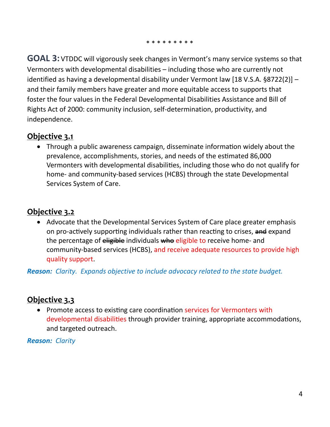\* \* \* \* \* \* \* \* \*

**GOAL 3:** VTDDC will vigorously seek changes in Vermont's many service systems so that Vermonters with developmental disabilities – including those who are currently not identified as having a developmental disability under Vermont law [18 V.S.A. §8722(2)] – and their family members have greater and more equitable access to supports that foster the four values in the Federal Developmental Disabilities Assistance and Bill of Rights Act of 2000: community inclusion, self-determination, productivity, and independence.

#### **Objective 3.1**

• Through a public awareness campaign, disseminate information widely about the prevalence, accomplishments, stories, and needs of the estimated 86,000 Vermonters with developmental disabilities, including those who do not qualify for home- and community-based services (HCBS) through the state Developmental Services System of Care.

#### **Objective 3.2**

• Advocate that the Developmental Services System of Care place greater emphasis on pro-actively supporting individuals rather than reacting to crises, and expand the percentage of eligible individuals who eligible to receive home- and community-based services (HCBS), and receive adequate resources to provide high quality support.

*Reason: Clarity. Expands objective to include advocacy related to the state budget.*

## **Objective 3.3**

• Promote access to existing care coordination services for Vermonters with developmental disabilities through provider training, appropriate accommodations, and targeted outreach.

*Reason: Clarity*